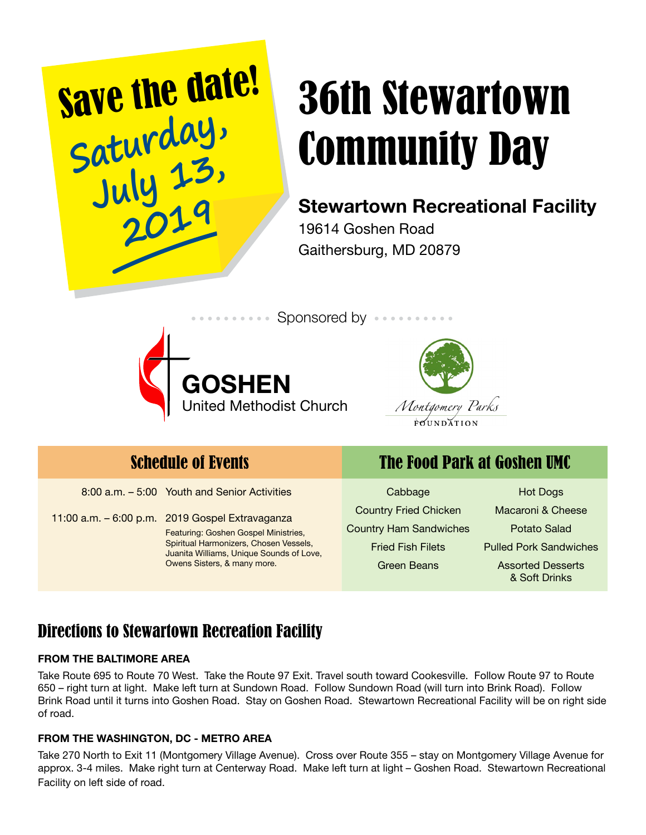

# Community Day

# Stewartown Recreational Facility

19614 Goshen Road Gaithersburg, MD 20879





8:00 a.m. - 5:00 Youth and Senior Activities Cabbage

11:00 a.m. – 6:00 p.m. 2019 Gospel Extravaganza Featuring: Goshen Gospel Ministries, Spiritual Harmonizers, Chosen Vessels, Juanita Williams, Unique Sounds of Love, Owens Sisters, & many more.

## Schedule of Events The Food Park at Goshen UMC

Country Fried Chicken Country Ham Sandwiches Fried Fish Filets Green Beans

Hot Dogs Macaroni & Cheese Potato Salad Pulled Pork Sandwiches Assorted Desserts & Soft Drinks

### Directions to Stewartown Recreation Facility

#### FROM THE BALTIMORE AREA

Take Route 695 to Route 70 West. Take the Route 97 Exit. Travel south toward Cookesville. Follow Route 97 to Route 650 – right turn at light. Make left turn at Sundown Road. Follow Sundown Road (will turn into Brink Road). Follow Brink Road until it turns into Goshen Road. Stay on Goshen Road. Stewartown Recreational Facility will be on right side of road.

#### FROM THE WASHINGTON, DC - METRO AREA

Take 270 North to Exit 11 (Montgomery Village Avenue). Cross over Route 355 – stay on Montgomery Village Avenue for approx. 3-4 miles. Make right turn at Centerway Road. Make left turn at light – Goshen Road. Stewartown Recreational Facility on left side of road.